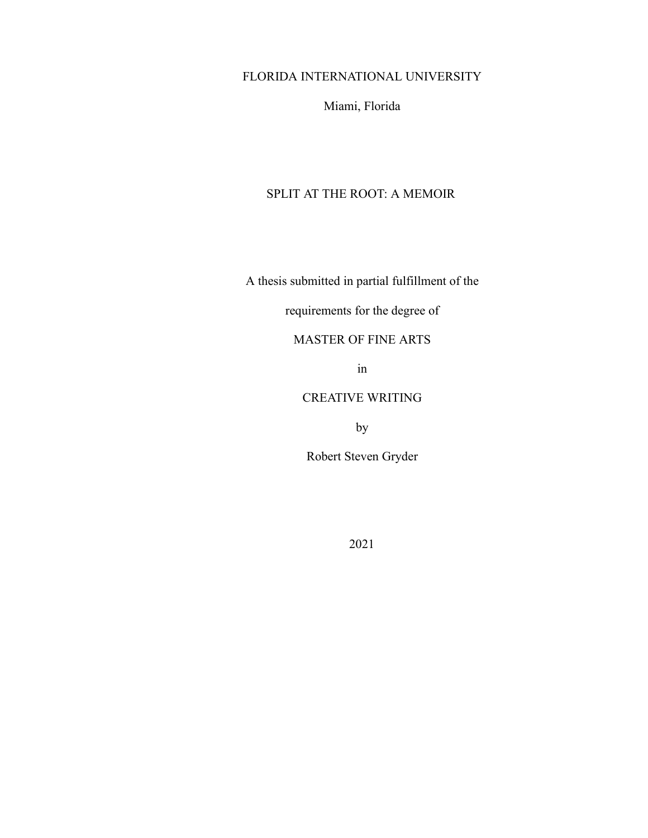### FLORIDA INTERNATIONAL UNIVERSITY

Miami, Florida

## SPLIT AT THE ROOT: A MEMOIR

A thesis submitted in partial fulfillment of the

## requirements for the degree of

## MASTER OF FINE ARTS

in

### CREATIVE WRITING

by

Robert Steven Gryder

2021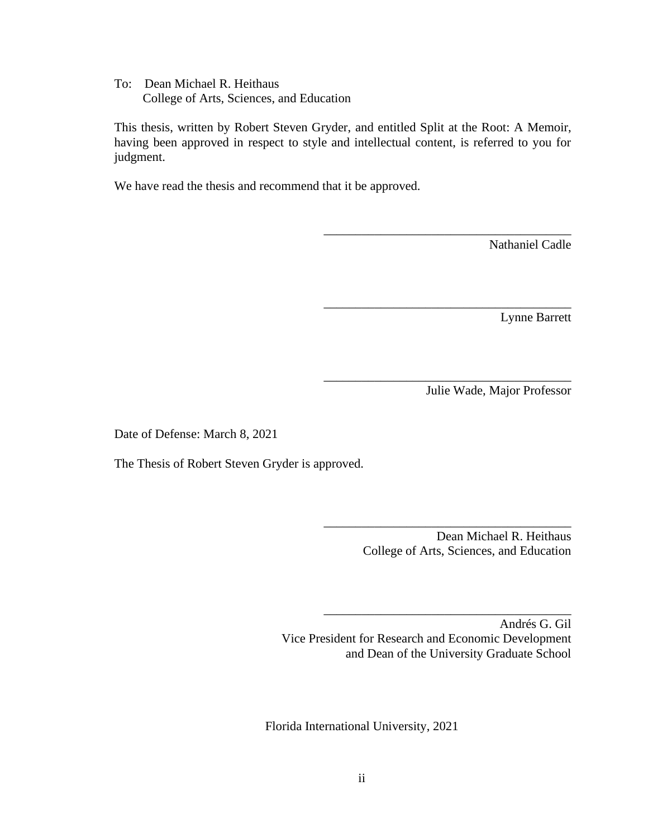To: Dean Michael R. Heithaus College of Arts, Sciences, and Education

This thesis, written by Robert Steven Gryder, and entitled Split at the Root: A Memoir, having been approved in respect to style and intellectual content, is referred to you for judgment.

We have read the thesis and recommend that it be approved.

Nathaniel Cadle

Lynne Barrett

Julie Wade, Major Professor

Date of Defense: March 8, 2021

The Thesis of Robert Steven Gryder is approved.

 Dean Michael R. Heithaus College of Arts, Sciences, and Education

\_\_\_\_\_\_\_\_\_\_\_\_\_\_\_\_\_\_\_\_\_\_\_\_\_\_\_\_\_\_\_\_\_\_\_\_\_\_\_

\_\_\_\_\_\_\_\_\_\_\_\_\_\_\_\_\_\_\_\_\_\_\_\_\_\_\_\_\_\_\_\_\_\_\_\_\_\_\_

\_\_\_\_\_\_\_\_\_\_\_\_\_\_\_\_\_\_\_\_\_\_\_\_\_\_\_\_\_\_\_\_\_\_\_\_\_\_\_

\_\_\_\_\_\_\_\_\_\_\_\_\_\_\_\_\_\_\_\_\_\_\_\_\_\_\_\_\_\_\_\_\_\_\_\_\_\_\_

\_\_\_\_\_\_\_\_\_\_\_\_\_\_\_\_\_\_\_\_\_\_\_\_\_\_\_\_\_\_\_\_\_\_\_\_\_\_\_

Andrés G. Gil Vice President for Research and Economic Development and Dean of the University Graduate School

Florida International University, 2021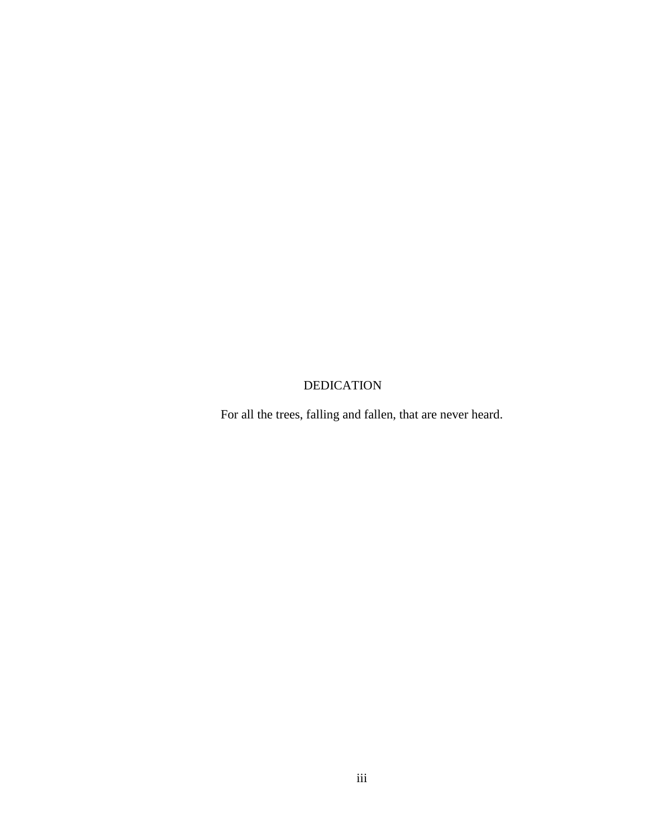# DEDICATION

For all the trees, falling and fallen, that are never heard.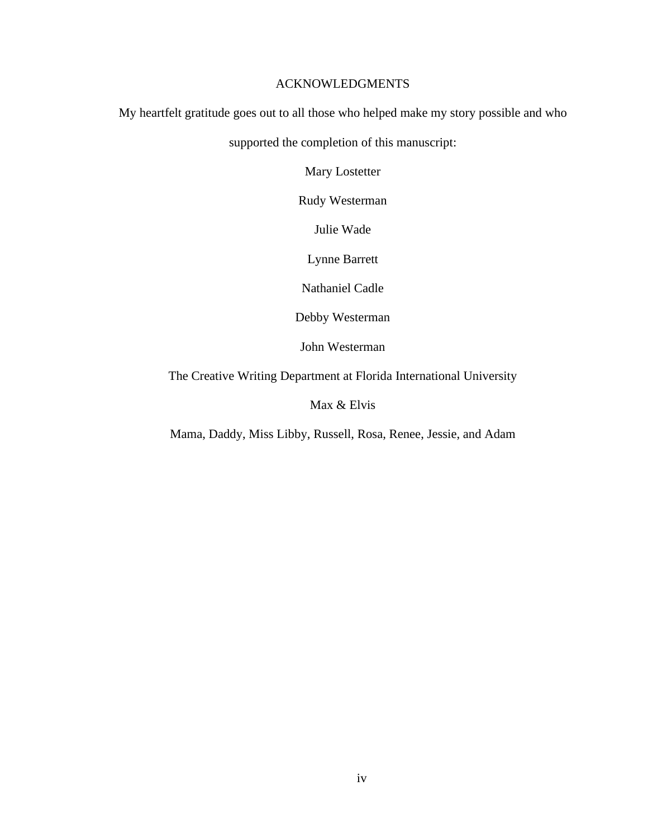### ACKNOWLEDGMENTS

My heartfelt gratitude goes out to all those who helped make my story possible and who

supported the completion of this manuscript:

Mary Lostetter

Rudy Westerman

Julie Wade

Lynne Barrett

Nathaniel Cadle

Debby Westerman

John Westerman

The Creative Writing Department at Florida International University

Max & Elvis

Mama, Daddy, Miss Libby, Russell, Rosa, Renee, Jessie, and Adam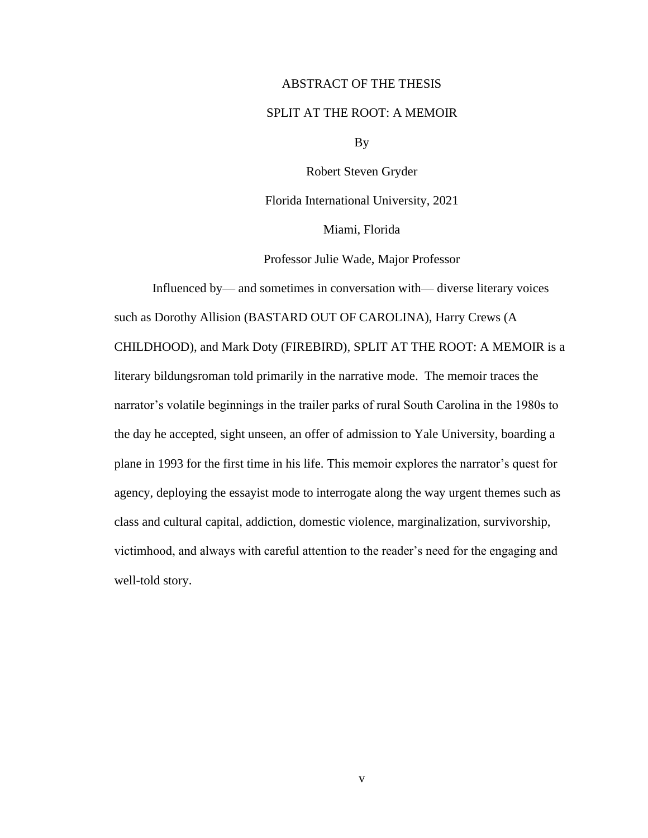#### ABSTRACT OF THE THESIS

#### SPLIT AT THE ROOT: A MEMOIR

By

Robert Steven Gryder

Florida International University, 2021

Miami, Florida

Professor Julie Wade, Major Professor

Influenced by— and sometimes in conversation with— diverse literary voices such as Dorothy Allision (BASTARD OUT OF CAROLINA), Harry Crews (A CHILDHOOD), and Mark Doty (FIREBIRD)*,* SPLIT AT THE ROOT: A MEMOIR is a literary bildungsroman told primarily in the narrative mode. The memoir traces the narrator's volatile beginnings in the trailer parks of rural South Carolina in the 1980s to the day he accepted, sight unseen, an offer of admission to Yale University, boarding a plane in 1993 for the first time in his life. This memoir explores the narrator's quest for agency, deploying the essayist mode to interrogate along the way urgent themes such as class and cultural capital, addiction, domestic violence, marginalization, survivorship, victimhood, and always with careful attention to the reader's need for the engaging and well-told story.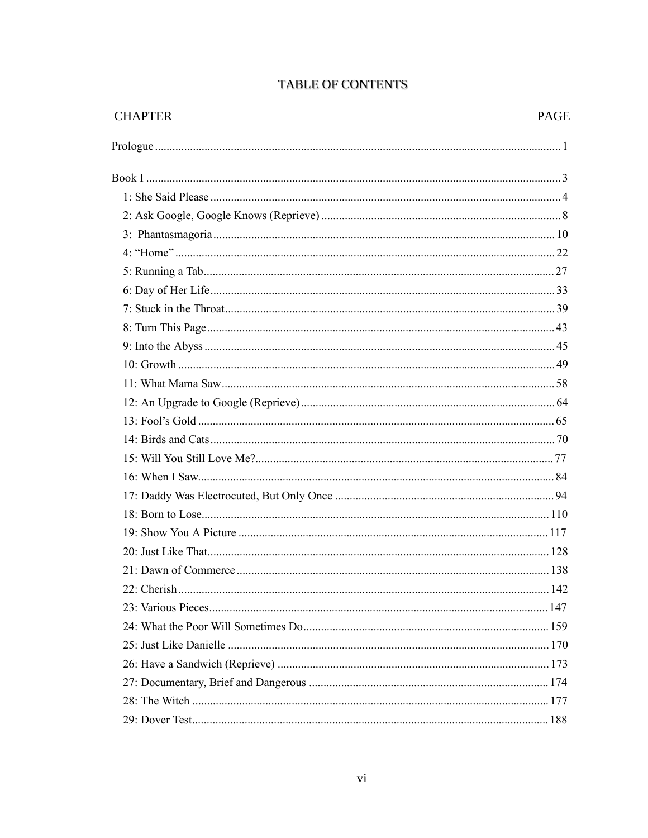| <b>CHAPTER</b> | <b>PAGE</b> |
|----------------|-------------|
|                |             |
|                |             |
|                |             |
|                |             |
|                |             |
|                |             |
|                |             |
|                |             |
|                |             |
|                |             |
|                |             |
|                |             |
|                |             |
|                |             |
|                |             |
|                |             |
|                |             |
|                |             |
|                |             |
|                |             |
|                |             |
|                |             |
|                |             |
|                |             |
|                |             |
|                |             |
|                |             |
|                |             |
|                |             |
|                |             |
|                |             |

# **TABLE OF CONTENTS**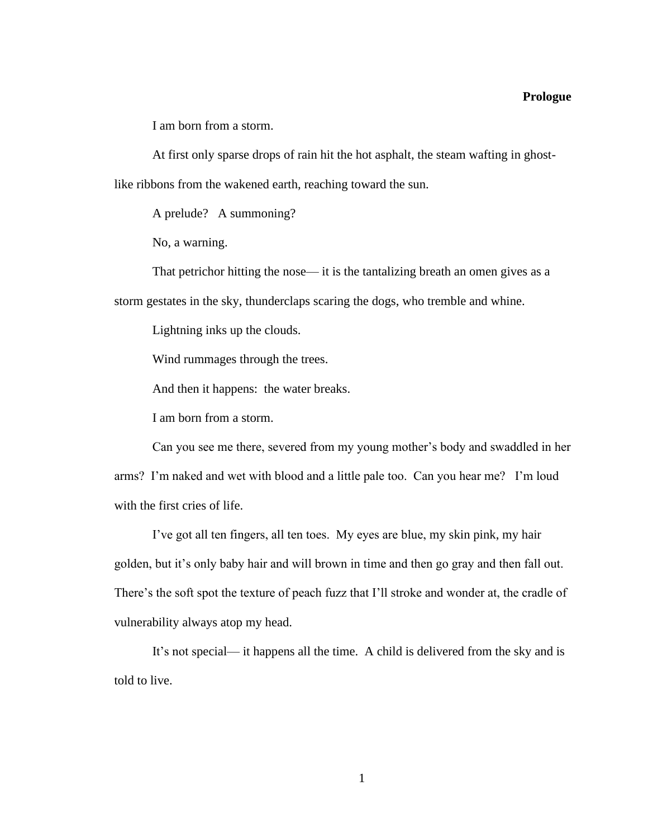#### **Prologue**

I am born from a storm.

At first only sparse drops of rain hit the hot asphalt, the steam wafting in ghostlike ribbons from the wakened earth, reaching toward the sun.

A prelude? A summoning?

No, a warning.

That petrichor hitting the nose— it is the tantalizing breath an omen gives as a storm gestates in the sky, thunderclaps scaring the dogs, who tremble and whine.

Lightning inks up the clouds.

Wind rummages through the trees.

And then it happens: the water breaks.

I am born from a storm.

Can you see me there, severed from my young mother's body and swaddled in her arms? I'm naked and wet with blood and a little pale too. Can you hear me? I'm loud with the first cries of life.

I've got all ten fingers, all ten toes. My eyes are blue, my skin pink, my hair golden, but it's only baby hair and will brown in time and then go gray and then fall out. There's the soft spot the texture of peach fuzz that I'll stroke and wonder at, the cradle of vulnerability always atop my head.

It's not special— it happens all the time. A child is delivered from the sky and is told to live.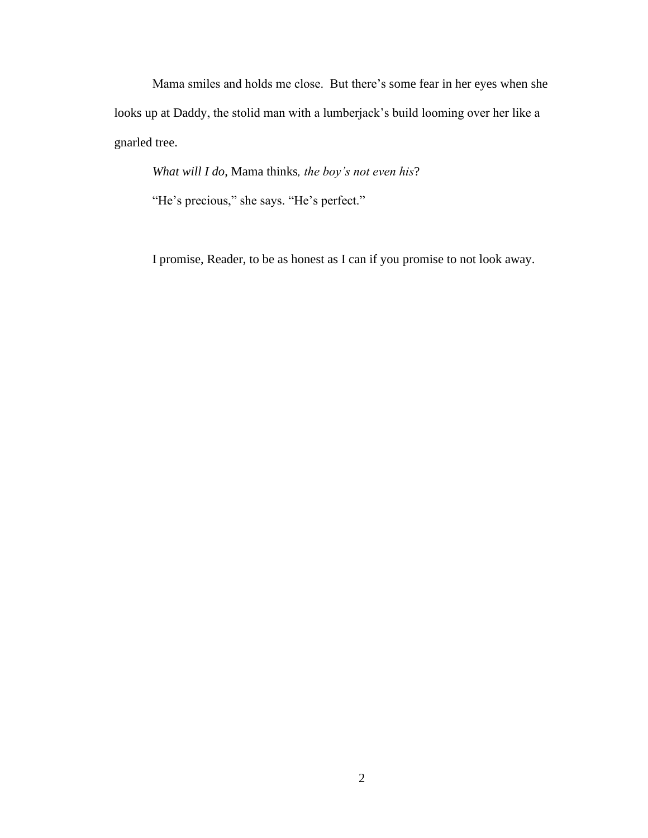Mama smiles and holds me close. But there's some fear in her eyes when she looks up at Daddy, the stolid man with a lumberjack's build looming over her like a gnarled tree.

*What will I do*, Mama thinks*, the boy's not even his*?

"He's precious," she says. "He's perfect."

I promise, Reader, to be as honest as I can if you promise to not look away.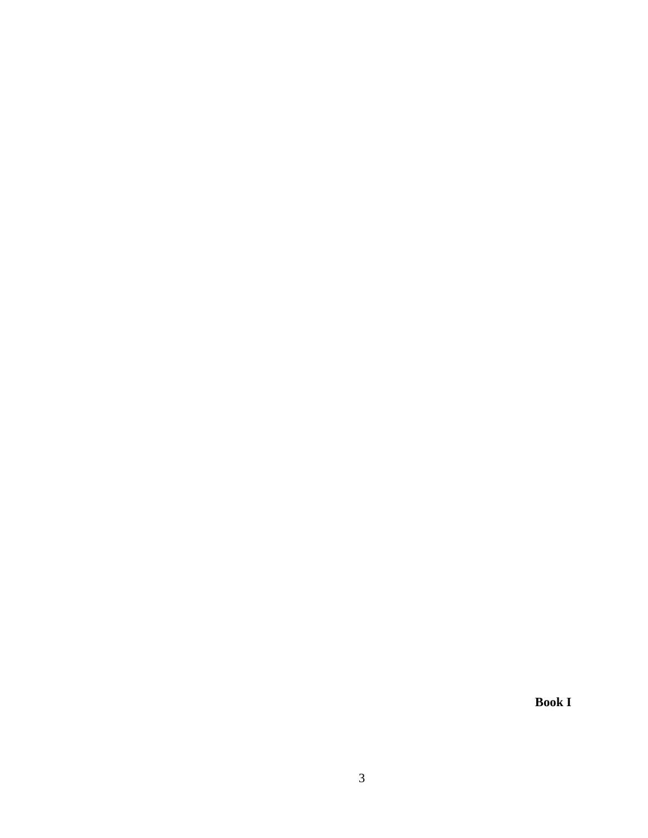**Book I**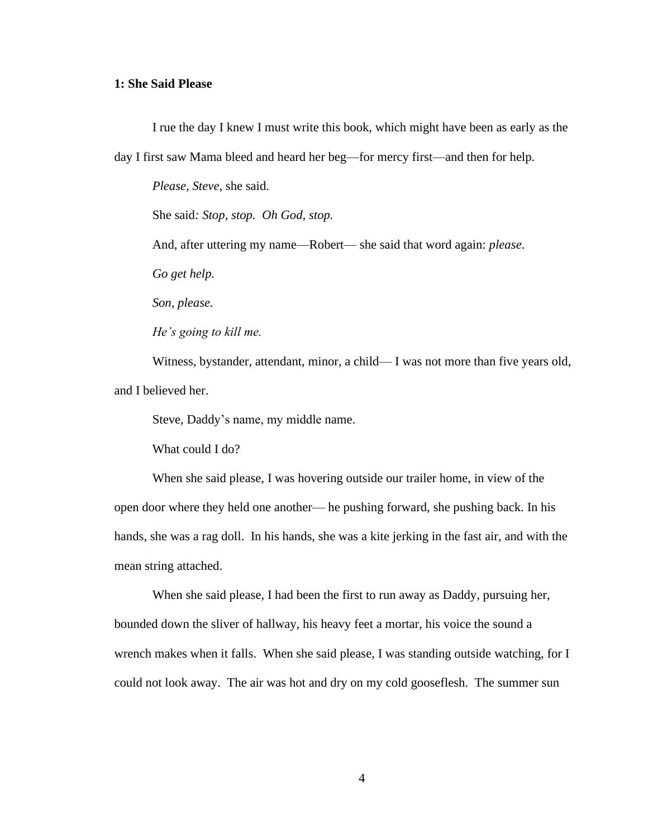### **1: She Said Please**

I rue the day I knew I must write this book, which might have been as early as the day I first saw Mama bleed and heard her beg—for mercy first—and then for help.

*Please, Steve*, she said.

She said*: Stop, stop. Oh God, stop.* 

And, after uttering my name—Robert— she said that word again: *please*.

*Go get help.*

*Son, please.* 

*He's going to kill me.*

Witness, bystander, attendant, minor, a child— I was not more than five years old, and I believed her.

Steve, Daddy's name, my middle name.

What could I do?

When she said please, I was hovering outside our trailer home, in view of the open door where they held one another— he pushing forward, she pushing back. In his hands, she was a rag doll. In his hands, she was a kite jerking in the fast air, and with the mean string attached.

When she said please, I had been the first to run away as Daddy, pursuing her, bounded down the sliver of hallway, his heavy feet a mortar, his voice the sound a wrench makes when it falls. When she said please, I was standing outside watching, for I could not look away. The air was hot and dry on my cold gooseflesh. The summer sun